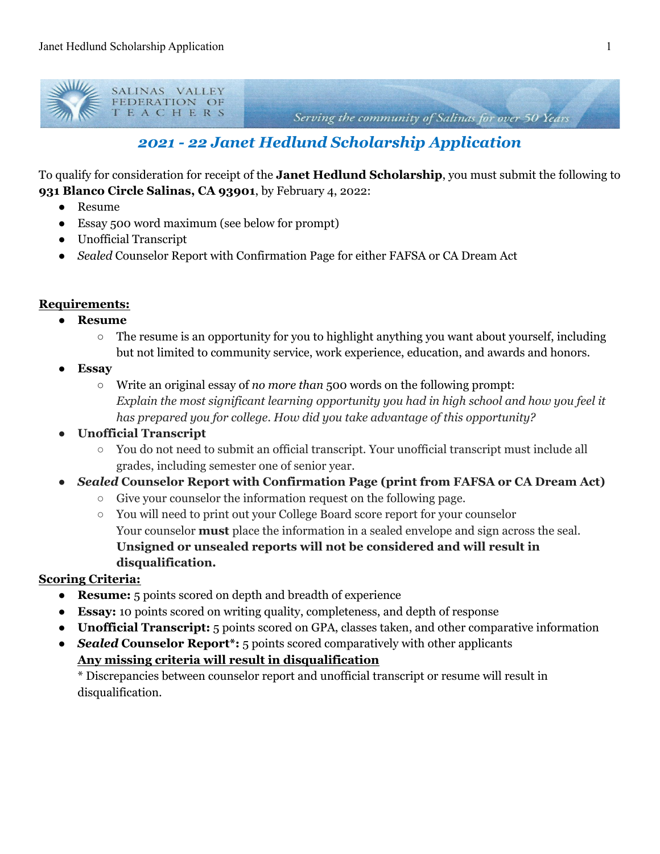

Serving the community of Salinas for over 50 Years

## *2021 - 22 Janet Hedlund Scholarship Application*

To qualify for consideration for receipt of the **Janet Hedlund Scholarship**, you must submit the following to **931 Blanco Circle Salinas, CA 93901**, by February 4, 2022:

- Resume
- Essay 500 word maximum (see below for prompt)
- Unofficial Transcript
- *Sealed* Counselor Report with Confirmation Page for either FAFSA or CA Dream Act

## **Requirements:**

- **● Resume**
	- The resume is an opportunity for you to highlight anything you want about yourself, including but not limited to community service, work experience, education, and awards and honors.
- **● Essay**
	- Write an original essay of *no more than* 500 words on the following prompt: *Explain the most significant learning opportunity you had in high school and how you feel it has prepared you for college. How did you take advantage of this opportunity?*
- **● Unofficial Transcript**
	- You do not need to submit an official transcript. Your unofficial transcript must include all grades, including semester one of senior year.
- **●** *Sealed* **Counselor Report with Confirmation Page (print from FAFSA or CA Dream Act)**
	- Give your counselor the information request on the following page.
	- You will need to print out your College Board score report for your counselor Your counselor **must** place the information in a sealed envelope and sign across the seal. **Unsigned or unsealed reports will not be considered and will result in disqualification.**

## **Scoring Criteria:**

- **Resume:** 5 points scored on depth and breadth of experience
- **Essay:** 10 points scored on writing quality, completeness, and depth of response
- **Unofficial Transcript:** 5 points scored on GPA, classes taken, and other comparative information
- *Sealed* **Counselor Report\*:** 5 points scored comparatively with other applicants **Any missing criteria will result in disqualification**

\* Discrepancies between counselor report and unofficial transcript or resume will result in disqualification.